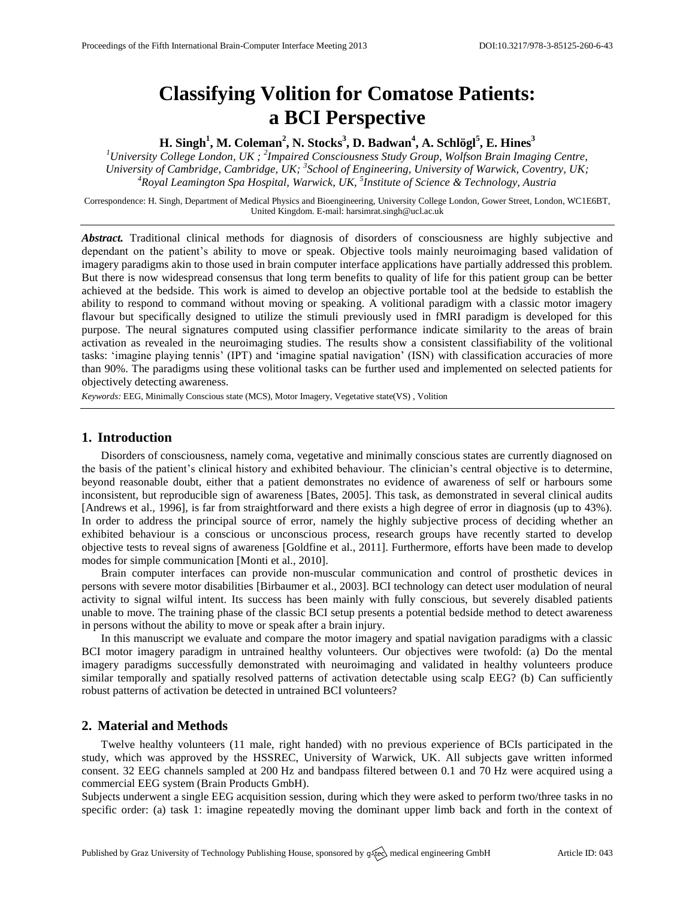# **Classifying Volition for Comatose Patients: a BCI Perspective**

**H. Singh<sup>1</sup> , M. Coleman<sup>2</sup> , N. Stocks<sup>3</sup> , D. Badwan<sup>4</sup> , A. Schlögl<sup>5</sup> , E. Hines<sup>3</sup>**

*<sup>1</sup>University College London, UK ; 2 Impaired Consciousness Study Group, Wolfson Brain Imaging Centre, University of Cambridge, Cambridge, UK; 3 School of Engineering, University of Warwick, Coventry, UK; <sup>4</sup>Royal Leamington Spa Hospital, Warwick, UK, 5 Institute of Science & Technology, Austria*

Correspondence: H. Singh, Department of Medical Physics and Bioengineering, University College London, Gower Street, London, WC1E6BT, United Kingdom. E-mail[: harsimrat.singh@ucl.ac.uk](mailto:harsimrat.singh@ucl.ac.uk)

Abstract. Traditional clinical methods for diagnosis of disorders of consciousness are highly subjective and dependant on the patient's ability to move or speak. Objective tools mainly neuroimaging based validation of imagery paradigms akin to those used in brain computer interface applications have partially addressed this problem. But there is now widespread consensus that long term benefits to quality of life for this patient group can be better achieved at the bedside. This work is aimed to develop an objective portable tool at the bedside to establish the ability to respond to command without moving or speaking. A volitional paradigm with a classic motor imagery flavour but specifically designed to utilize the stimuli previously used in fMRI paradigm is developed for this purpose. The neural signatures computed using classifier performance indicate similarity to the areas of brain activation as revealed in the neuroimaging studies. The results show a consistent classifiability of the volitional tasks: 'imagine playing tennis' (IPT) and 'imagine spatial navigation' (ISN) with classification accuracies of more than 90%. The paradigms using these volitional tasks can be further used and implemented on selected patients for objectively detecting awareness.

*Keywords:* EEG, Minimally Conscious state (MCS), Motor Imagery, Vegetative state(VS) , Volition

## **1. Introduction**

Disorders of consciousness, namely coma, vegetative and minimally conscious states are currently diagnosed on the basis of the patient's clinical history and exhibited behaviour. The clinician's central objective is to determine, beyond reasonable doubt, either that a patient demonstrates no evidence of awareness of self or harbours some inconsistent, but reproducible sign of awareness [Bates, 2005]. This task, as demonstrated in several clinical audits [Andrews et al., 1996], is far from straightforward and there exists a high degree of error in diagnosis (up to 43%). In order to address the principal source of error, namely the highly subjective process of deciding whether an exhibited behaviour is a conscious or unconscious process, research groups have recently started to develop objective tests to reveal signs of awareness [Goldfine et al., 2011]. Furthermore, efforts have been made to develop modes for simple communication [Monti et al., 2010].

Brain computer interfaces can provide non-muscular communication and control of prosthetic devices in persons with severe motor disabilities [Birbaumer et al., 2003]. BCI technology can detect user modulation of neural activity to signal wilful intent. Its success has been mainly with fully conscious, but severely disabled patients unable to move. The training phase of the classic BCI setup presents a potential bedside method to detect awareness in persons without the ability to move or speak after a brain injury.

In this manuscript we evaluate and compare the motor imagery and spatial navigation paradigms with a classic BCI motor imagery paradigm in untrained healthy volunteers. Our objectives were twofold: (a) Do the mental imagery paradigms successfully demonstrated with neuroimaging and validated in healthy volunteers produce similar temporally and spatially resolved patterns of activation detectable using scalp EEG? (b) Can sufficiently robust patterns of activation be detected in untrained BCI volunteers?

# **2. Material and Methods**

Twelve healthy volunteers (11 male, right handed) with no previous experience of BCIs participated in the study, which was approved by the HSSREC, University of Warwick, UK. All subjects gave written informed consent. 32 EEG channels sampled at 200 Hz and bandpass filtered between 0.1 and 70 Hz were acquired using a commercial EEG system (Brain Products GmbH).

Subjects underwent a single EEG acquisition session, during which they were asked to perform two/three tasks in no specific order: (a) task 1: imagine repeatedly moving the dominant upper limb back and forth in the context of